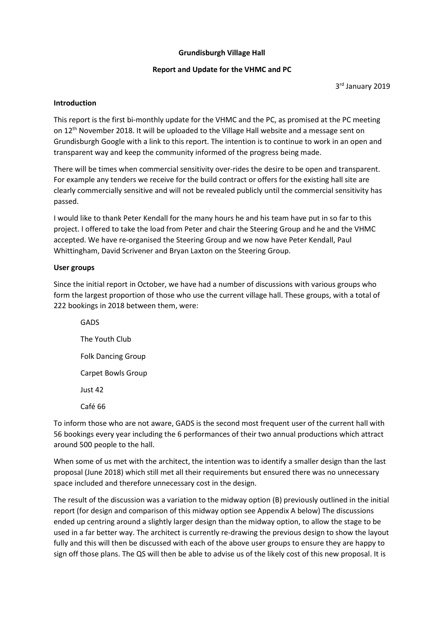#### Grundisburgh Village Hall

#### Report and Update for the VHMC and PC

3 rd January 2019

#### Introduction

This report is the first bi-monthly update for the VHMC and the PC, as promised at the PC meeting on  $12^{th}$  November 2018. It will be uploaded to the Village Hall website and a message sent on Grundisburgh Google with a link to this report. The intention is to continue to work in an open and transparent way and keep the community informed of the progress being made.

There will be times when commercial sensitivity over-rides the desire to be open and transparent. For example any tenders we receive for the build contract or offers for the existing hall site are clearly commercially sensitive and will not be revealed publicly until the commercial sensitivity has passed.

I would like to thank Peter Kendall for the many hours he and his team have put in so far to this project. I offered to take the load from Peter and chair the Steering Group and he and the VHMC accepted. We have re-organised the Steering Group and we now have Peter Kendall, Paul Whittingham, David Scrivener and Bryan Laxton on the Steering Group.

#### User groups

Since the initial report in October, we have had a number of discussions with various groups who form the largest proportion of those who use the current village hall. These groups, with a total of 222 bookings in 2018 between them, were:

GADS The Youth Club Folk Dancing Group Carpet Bowls Group Just 42 Café 66

To inform those who are not aware, GADS is the second most frequent user of the current hall with 56 bookings every year including the 6 performances of their two annual productions which attract around 500 people to the hall.

When some of us met with the architect, the intention was to identify a smaller design than the last proposal (June 2018) which still met all their requirements but ensured there was no unnecessary space included and therefore unnecessary cost in the design.

The result of the discussion was a variation to the midway option (B) previously outlined in the initial report (for design and comparison of this midway option see Appendix A below) The discussions ended up centring around a slightly larger design than the midway option, to allow the stage to be used in a far better way. The architect is currently re-drawing the previous design to show the layout fully and this will then be discussed with each of the above user groups to ensure they are happy to sign off those plans. The QS will then be able to advise us of the likely cost of this new proposal. It is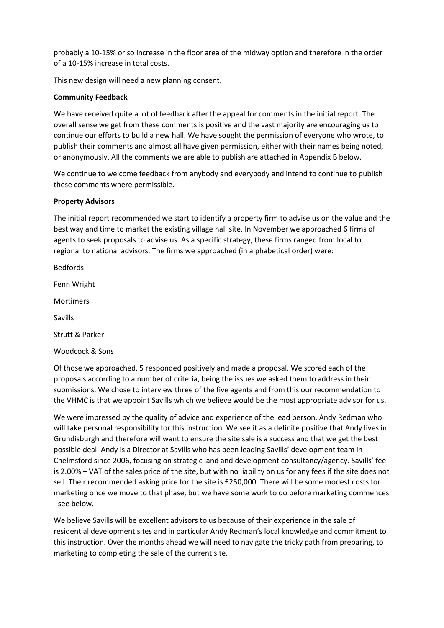probably a 10-15% or so increase in the floor area of the midway option and therefore in the order of a 10-15% increase in total costs.

This new design will need a new planning consent.

#### Community Feedback

We have received quite a lot of feedback after the appeal for comments in the initial report. The overall sense we get from these comments is positive and the vast majority are encouraging us to continue our efforts to build a new hall. We have sought the permission of everyone who wrote, to publish their comments and almost all have given permission, either with their names being noted, or anonymously. All the comments we are able to publish are attached in Appendix B below.

We continue to welcome feedback from anybody and everybody and intend to continue to publish these comments where permissible.

#### Property Advisors

The initial report recommended we start to identify a property firm to advise us on the value and the best way and time to market the existing village hall site. In November we approached 6 firms of agents to seek proposals to advise us. As a specific strategy, these firms ranged from local to regional to national advisors. The firms we approached (in alphabetical order) were:

Bedfords

Fenn Wright

Mortimers

Savills

Strutt & Parker

Woodcock & Sons

Of those we approached, 5 responded positively and made a proposal. We scored each of the proposals according to a number of criteria, being the issues we asked them to address in their submissions. We chose to interview three of the five agents and from this our recommendation to the VHMC is that we appoint Savills which we believe would be the most appropriate advisor for us.

We were impressed by the quality of advice and experience of the lead person, Andy Redman who will take personal responsibility for this instruction. We see it as a definite positive that Andy lives in Grundisburgh and therefore will want to ensure the site sale is a success and that we get the best possible deal. Andy is a Director at Savills who has been leading Savills' development team in Chelmsford since 2006, focusing on strategic land and development consultancy/agency. Savills' fee is 2.00% + VAT of the sales price of the site, but with no liability on us for any fees if the site does not sell. Their recommended asking price for the site is £250,000. There will be some modest costs for marketing once we move to that phase, but we have some work to do before marketing commences - see below.

We believe Savills will be excellent advisors to us because of their experience in the sale of residential development sites and in particular Andy Redman's local knowledge and commitment to this instruction. Over the months ahead we will need to navigate the tricky path from preparing, to marketing to completing the sale of the current site.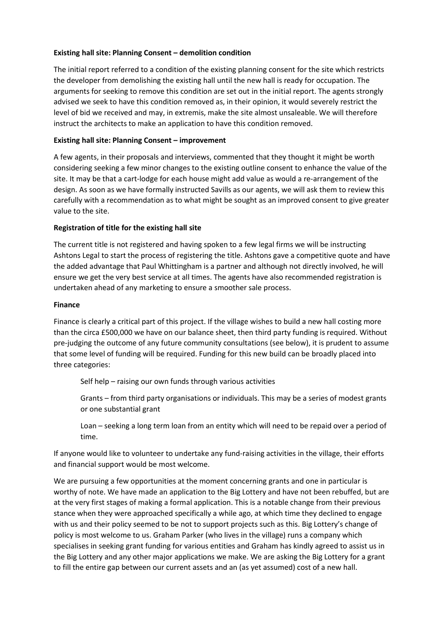#### Existing hall site: Planning Consent – demolition condition

The initial report referred to a condition of the existing planning consent for the site which restricts the developer from demolishing the existing hall until the new hall is ready for occupation. The arguments for seeking to remove this condition are set out in the initial report. The agents strongly advised we seek to have this condition removed as, in their opinion, it would severely restrict the level of bid we received and may, in extremis, make the site almost unsaleable. We will therefore instruct the architects to make an application to have this condition removed.

#### Existing hall site: Planning Consent – improvement

A few agents, in their proposals and interviews, commented that they thought it might be worth considering seeking a few minor changes to the existing outline consent to enhance the value of the site. It may be that a cart-lodge for each house might add value as would a re-arrangement of the design. As soon as we have formally instructed Savills as our agents, we will ask them to review this carefully with a recommendation as to what might be sought as an improved consent to give greater value to the site.

#### Registration of title for the existing hall site

The current title is not registered and having spoken to a few legal firms we will be instructing Ashtons Legal to start the process of registering the title. Ashtons gave a competitive quote and have the added advantage that Paul Whittingham is a partner and although not directly involved, he will ensure we get the very best service at all times. The agents have also recommended registration is undertaken ahead of any marketing to ensure a smoother sale process.

#### Finance

Finance is clearly a critical part of this project. If the village wishes to build a new hall costing more than the circa £500,000 we have on our balance sheet, then third party funding is required. Without pre-judging the outcome of any future community consultations (see below), it is prudent to assume that some level of funding will be required. Funding for this new build can be broadly placed into three categories:

Self help – raising our own funds through various activities

Grants – from third party organisations or individuals. This may be a series of modest grants or one substantial grant

Loan – seeking a long term loan from an entity which will need to be repaid over a period of time.

If anyone would like to volunteer to undertake any fund-raising activities in the village, their efforts and financial support would be most welcome.

We are pursuing a few opportunities at the moment concerning grants and one in particular is worthy of note. We have made an application to the Big Lottery and have not been rebuffed, but are at the very first stages of making a formal application. This is a notable change from their previous stance when they were approached specifically a while ago, at which time they declined to engage with us and their policy seemed to be not to support projects such as this. Big Lottery's change of policy is most welcome to us. Graham Parker (who lives in the village) runs a company which specialises in seeking grant funding for various entities and Graham has kindly agreed to assist us in the Big Lottery and any other major applications we make. We are asking the Big Lottery for a grant to fill the entire gap between our current assets and an (as yet assumed) cost of a new hall.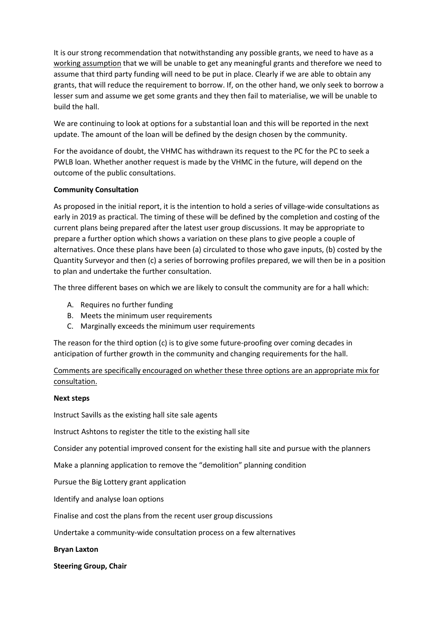It is our strong recommendation that notwithstanding any possible grants, we need to have as a working assumption that we will be unable to get any meaningful grants and therefore we need to assume that third party funding will need to be put in place. Clearly if we are able to obtain any grants, that will reduce the requirement to borrow. If, on the other hand, we only seek to borrow a lesser sum and assume we get some grants and they then fail to materialise, we will be unable to build the hall.

We are continuing to look at options for a substantial loan and this will be reported in the next update. The amount of the loan will be defined by the design chosen by the community.

For the avoidance of doubt, the VHMC has withdrawn its request to the PC for the PC to seek a PWLB loan. Whether another request is made by the VHMC in the future, will depend on the outcome of the public consultations.

#### Community Consultation

As proposed in the initial report, it is the intention to hold a series of village-wide consultations as early in 2019 as practical. The timing of these will be defined by the completion and costing of the current plans being prepared after the latest user group discussions. It may be appropriate to prepare a further option which shows a variation on these plans to give people a couple of alternatives. Once these plans have been (a) circulated to those who gave inputs, (b) costed by the Quantity Surveyor and then (c) a series of borrowing profiles prepared, we will then be in a position to plan and undertake the further consultation.

The three different bases on which we are likely to consult the community are for a hall which:

- A. Requires no further funding
- B. Meets the minimum user requirements
- C. Marginally exceeds the minimum user requirements

The reason for the third option (c) is to give some future-proofing over coming decades in anticipation of further growth in the community and changing requirements for the hall.

Comments are specifically encouraged on whether these three options are an appropriate mix for consultation.

#### Next steps

Instruct Savills as the existing hall site sale agents

Instruct Ashtons to register the title to the existing hall site

Consider any potential improved consent for the existing hall site and pursue with the planners

Make a planning application to remove the "demolition" planning condition

Pursue the Big Lottery grant application

Identify and analyse loan options

Finalise and cost the plans from the recent user group discussions

Undertake a community-wide consultation process on a few alternatives

Bryan Laxton

Steering Group, Chair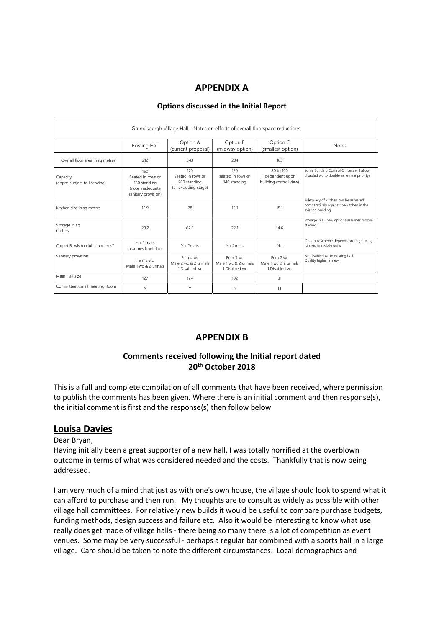# APPENDIX A

| Grundisburgh Village Hall – Notes on effects of overall floorspace reductions |                                                                                     |                                                                   |                                                    |                                                        |                                                                                                       |
|-------------------------------------------------------------------------------|-------------------------------------------------------------------------------------|-------------------------------------------------------------------|----------------------------------------------------|--------------------------------------------------------|-------------------------------------------------------------------------------------------------------|
|                                                                               | <b>Existing Hall</b>                                                                | Option A<br>(current proposal)                                    | Option B<br>(midway option)                        | Option C<br>(smallest option)                          | <b>Notes</b>                                                                                          |
| Overall floor area in sq metres                                               | 212                                                                                 | 343                                                               | 204                                                | 163                                                    |                                                                                                       |
| Capacity<br>(apprx, subject to licencing)                                     | 150<br>Seated in rows or<br>180 standing<br>(note inadequate<br>sanitary provision) | 170<br>Seated in rows or<br>200 standing<br>(all excluding stage) | 120<br>seated in rows or<br>140 standing           | 80 to 100<br>(dependent upon<br>building control view) | Some Building Control Officers will allow<br>disabled wc to double as female priority)                |
| Kitchen size in sq metres                                                     | 12.9                                                                                | 28                                                                | 15.1                                               | 15.1                                                   | Adequacy of kitchen can be assessed<br>comparatively against the kitchen in the<br>existing building. |
| Storage in sq<br>metres                                                       | 20.2                                                                                | 62.5                                                              | 22.1                                               | 14.6                                                   | Storage in all new options assumes mobile<br>staging                                                  |
| Carpet Bowls to club standards?                                               | Y x 2 mats<br>(assumes level floor                                                  | Y x 2mats                                                         | Y x 2mats                                          | <b>No</b>                                              | Option A Scheme depends on stage being<br>formed in mobile units                                      |
| Sanitary provision                                                            | Fem 2 wc<br>Male 1 wc & 2 urinals                                                   | Fem 4 wc<br>Male 2 wc & 2 urinals<br>1 Disabled wc                | Fem 3 wc<br>Male 1 wc & 2 urinals<br>1 Disabled wc | Fem 2 wc<br>Male 1 wc & 2 urinals<br>1 Disabled wc     | No disabled wc in existing hall.<br>Quality higher in new.                                            |
| Main Hall size                                                                | 127                                                                                 | 124                                                               | 102                                                | 81                                                     |                                                                                                       |
| Committee /small meeting Room                                                 | N                                                                                   | Y                                                                 | N                                                  | N                                                      |                                                                                                       |

### Options discussed in the Initial Report

# APPENDIX B

## Comments received following the Initial report dated 20<sup>th</sup> October 2018

This is a full and complete compilation of all comments that have been received, where permission to publish the comments has been given. Where there is an initial comment and then response(s), the initial comment is first and the response(s) then follow below

### Louisa Davies

Dear Bryan,

Having initially been a great supporter of a new hall, I was totally horrified at the overblown outcome in terms of what was considered needed and the costs. Thankfully that is now being addressed.

I am very much of a mind that just as with one's own house, the village should look to spend what it can afford to purchase and then run. My thoughts are to consult as widely as possible with other village hall committees. For relatively new builds it would be useful to compare purchase budgets, funding methods, design success and failure etc. Also it would be interesting to know what use really does get made of village halls - there being so many there is a lot of competition as event venues. Some may be very successful - perhaps a regular bar combined with a sports hall in a large village. Care should be taken to note the different circumstances. Local demographics and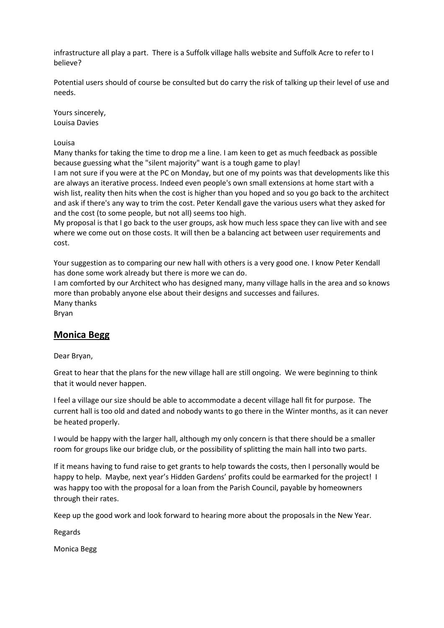infrastructure all play a part. There is a Suffolk village halls website and Suffolk Acre to refer to I believe?

Potential users should of course be consulted but do carry the risk of talking up their level of use and needs.

Yours sincerely, Louisa Davies

Louisa

Many thanks for taking the time to drop me a line. I am keen to get as much feedback as possible because guessing what the "silent majority" want is a tough game to play!

I am not sure if you were at the PC on Monday, but one of my points was that developments like this are always an iterative process. Indeed even people's own small extensions at home start with a wish list, reality then hits when the cost is higher than you hoped and so you go back to the architect and ask if there's any way to trim the cost. Peter Kendall gave the various users what they asked for and the cost (to some people, but not all) seems too high.

My proposal is that I go back to the user groups, ask how much less space they can live with and see where we come out on those costs. It will then be a balancing act between user requirements and cost.

Your suggestion as to comparing our new hall with others is a very good one. I know Peter Kendall has done some work already but there is more we can do.

I am comforted by our Architect who has designed many, many village halls in the area and so knows more than probably anyone else about their designs and successes and failures. Many thanks Bryan

## Monica Begg

Dear Bryan,

Great to hear that the plans for the new village hall are still ongoing. We were beginning to think that it would never happen.

I feel a village our size should be able to accommodate a decent village hall fit for purpose. The current hall is too old and dated and nobody wants to go there in the Winter months, as it can never be heated properly.

I would be happy with the larger hall, although my only concern is that there should be a smaller room for groups like our bridge club, or the possibility of splitting the main hall into two parts.

If it means having to fund raise to get grants to help towards the costs, then I personally would be happy to help. Maybe, next year's Hidden Gardens' profits could be earmarked for the project! I was happy too with the proposal for a loan from the Parish Council, payable by homeowners through their rates.

Keep up the good work and look forward to hearing more about the proposals in the New Year.

Regards

Monica Begg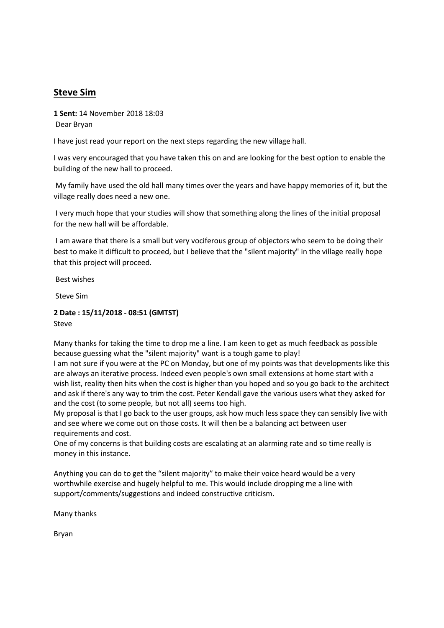# Steve Sim

1 Sent: 14 November 2018 18:03 Dear Bryan

I have just read your report on the next steps regarding the new village hall.

I was very encouraged that you have taken this on and are looking for the best option to enable the building of the new hall to proceed.

 My family have used the old hall many times over the years and have happy memories of it, but the village really does need a new one.

 I very much hope that your studies will show that something along the lines of the initial proposal for the new hall will be affordable.

 I am aware that there is a small but very vociferous group of objectors who seem to be doing their best to make it difficult to proceed, but I believe that the "silent majority" in the village really hope that this project will proceed.

Best wishes

Steve Sim

#### 2 Date : 15/11/2018 - 08:51 (GMTST) Steve

Many thanks for taking the time to drop me a line. I am keen to get as much feedback as possible because guessing what the "silent majority" want is a tough game to play!

I am not sure if you were at the PC on Monday, but one of my points was that developments like this are always an iterative process. Indeed even people's own small extensions at home start with a wish list, reality then hits when the cost is higher than you hoped and so you go back to the architect and ask if there's any way to trim the cost. Peter Kendall gave the various users what they asked for and the cost (to some people, but not all) seems too high.

My proposal is that I go back to the user groups, ask how much less space they can sensibly live with and see where we come out on those costs. It will then be a balancing act between user requirements and cost.

One of my concerns is that building costs are escalating at an alarming rate and so time really is money in this instance.

Anything you can do to get the "silent majority" to make their voice heard would be a very worthwhile exercise and hugely helpful to me. This would include dropping me a line with support/comments/suggestions and indeed constructive criticism.

Many thanks

Bryan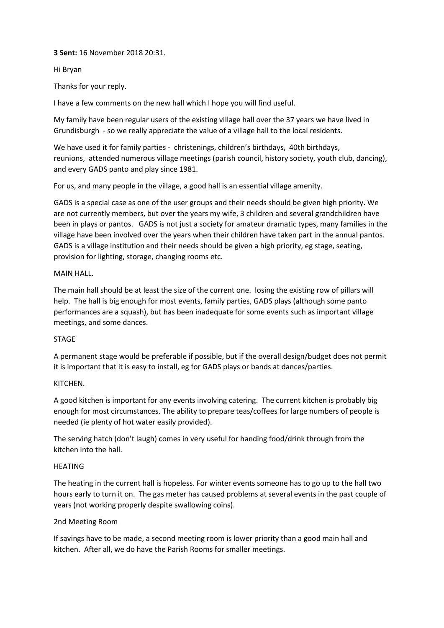#### 3 Sent: 16 November 2018 20:31.

#### Hi Bryan

Thanks for your reply.

I have a few comments on the new hall which I hope you will find useful.

My family have been regular users of the existing village hall over the 37 years we have lived in Grundisburgh - so we really appreciate the value of a village hall to the local residents.

We have used it for family parties - christenings, children's birthdays, 40th birthdays, reunions, attended numerous village meetings (parish council, history society, youth club, dancing), and every GADS panto and play since 1981.

For us, and many people in the village, a good hall is an essential village amenity.

GADS is a special case as one of the user groups and their needs should be given high priority. We are not currently members, but over the years my wife, 3 children and several grandchildren have been in plays or pantos. GADS is not just a society for amateur dramatic types, many families in the village have been involved over the years when their children have taken part in the annual pantos. GADS is a village institution and their needs should be given a high priority, eg stage, seating, provision for lighting, storage, changing rooms etc.

#### MAIN HALL.

The main hall should be at least the size of the current one. losing the existing row of pillars will help. The hall is big enough for most events, family parties, GADS plays (although some panto performances are a squash), but has been inadequate for some events such as important village meetings, and some dances.

### STAGE

A permanent stage would be preferable if possible, but if the overall design/budget does not permit it is important that it is easy to install, eg for GADS plays or bands at dances/parties.

#### KITCHEN.

A good kitchen is important for any events involving catering. The current kitchen is probably big enough for most circumstances. The ability to prepare teas/coffees for large numbers of people is needed (ie plenty of hot water easily provided).

The serving hatch (don't laugh) comes in very useful for handing food/drink through from the kitchen into the hall.

#### HEATING

The heating in the current hall is hopeless. For winter events someone has to go up to the hall two hours early to turn it on. The gas meter has caused problems at several events in the past couple of years (not working properly despite swallowing coins).

### 2nd Meeting Room

If savings have to be made, a second meeting room is lower priority than a good main hall and kitchen. After all, we do have the Parish Rooms for smaller meetings.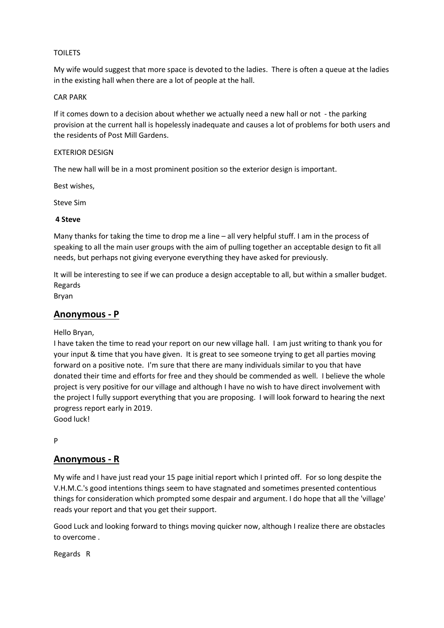#### TOILETS

My wife would suggest that more space is devoted to the ladies. There is often a queue at the ladies in the existing hall when there are a lot of people at the hall.

#### CAR PARK

If it comes down to a decision about whether we actually need a new hall or not - the parking provision at the current hall is hopelessly inadequate and causes a lot of problems for both users and the residents of Post Mill Gardens.

#### EXTERIOR DESIGN

The new hall will be in a most prominent position so the exterior design is important.

Best wishes,

Steve Sim

#### 4 Steve

Many thanks for taking the time to drop me a line – all very helpful stuff. I am in the process of speaking to all the main user groups with the aim of pulling together an acceptable design to fit all needs, but perhaps not giving everyone everything they have asked for previously.

It will be interesting to see if we can produce a design acceptable to all, but within a smaller budget. Regards

Bryan

### Anonymous - P

Hello Bryan,

I have taken the time to read your report on our new village hall. I am just writing to thank you for your input & time that you have given. It is great to see someone trying to get all parties moving forward on a positive note. I'm sure that there are many individuals similar to you that have donated their time and efforts for free and they should be commended as well. I believe the whole project is very positive for our village and although I have no wish to have direct involvement with the project I fully support everything that you are proposing. I will look forward to hearing the next progress report early in 2019.

Good luck!

P

## Anonymous - R

My wife and I have just read your 15 page initial report which I printed off. For so long despite the V.H.M.C.'s good intentions things seem to have stagnated and sometimes presented contentious things for consideration which prompted some despair and argument. I do hope that all the 'village' reads your report and that you get their support.

Good Luck and looking forward to things moving quicker now, although I realize there are obstacles to overcome .

Regards R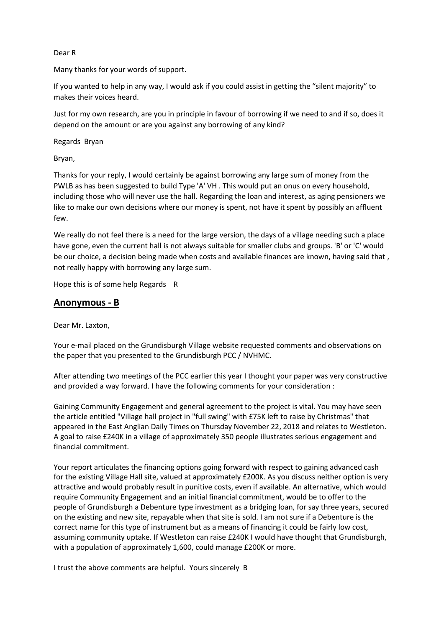#### Dear R

Many thanks for your words of support.

If you wanted to help in any way, I would ask if you could assist in getting the "silent majority" to makes their voices heard.

Just for my own research, are you in principle in favour of borrowing if we need to and if so, does it depend on the amount or are you against any borrowing of any kind?

Regards Bryan

Bryan,

Thanks for your reply, I would certainly be against borrowing any large sum of money from the PWLB as has been suggested to build Type 'A' VH . This would put an onus on every household, including those who will never use the hall. Regarding the loan and interest, as aging pensioners we like to make our own decisions where our money is spent, not have it spent by possibly an affluent few.

We really do not feel there is a need for the large version, the days of a village needing such a place have gone, even the current hall is not always suitable for smaller clubs and groups. 'B' or 'C' would be our choice, a decision being made when costs and available finances are known, having said that , not really happy with borrowing any large sum.

Hope this is of some help Regards R

## Anonymous - B

Dear Mr. Laxton,

Your e-mail placed on the Grundisburgh Village website requested comments and observations on the paper that you presented to the Grundisburgh PCC / NVHMC.

After attending two meetings of the PCC earlier this year I thought your paper was very constructive and provided a way forward. I have the following comments for your consideration :

Gaining Community Engagement and general agreement to the project is vital. You may have seen the article entitled "Village hall project in "full swing" with £75K left to raise by Christmas" that appeared in the East Anglian Daily Times on Thursday November 22, 2018 and relates to Westleton. A goal to raise £240K in a village of approximately 350 people illustrates serious engagement and financial commitment.

Your report articulates the financing options going forward with respect to gaining advanced cash for the existing Village Hall site, valued at approximately £200K. As you discuss neither option is very attractive and would probably result in punitive costs, even if available. An alternative, which would require Community Engagement and an initial financial commitment, would be to offer to the people of Grundisburgh a Debenture type investment as a bridging loan, for say three years, secured on the existing and new site, repayable when that site is sold. I am not sure if a Debenture is the correct name for this type of instrument but as a means of financing it could be fairly low cost, assuming community uptake. If Westleton can raise £240K I would have thought that Grundisburgh, with a population of approximately 1,600, could manage £200K or more.

I trust the above comments are helpful. Yours sincerely B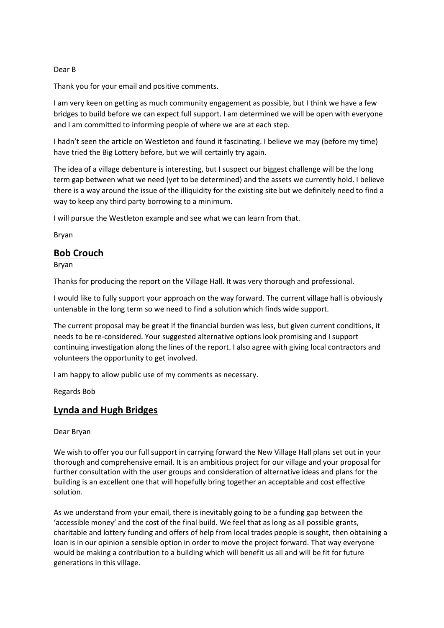#### Dear B

Thank you for your email and positive comments.

I am very keen on getting as much community engagement as possible, but I think we have a few bridges to build before we can expect full support. I am determined we will be open with everyone and I am committed to informing people of where we are at each step.

I hadn't seen the article on Westleton and found it fascinating. I believe we may (before my time) have tried the Big Lottery before, but we will certainly try again.

The idea of a village debenture is interesting, but I suspect our biggest challenge will be the long term gap between what we need (yet to be determined) and the assets we currently hold. I believe there is a way around the issue of the illiquidity for the existing site but we definitely need to find a way to keep any third party borrowing to a minimum.

I will pursue the Westleton example and see what we can learn from that.

Bryan

# Bob Crouch

Bryan

Thanks for producing the report on the Village Hall. It was very thorough and professional.

I would like to fully support your approach on the way forward. The current village hall is obviously untenable in the long term so we need to find a solution which finds wide support.

The current proposal may be great if the financial burden was less, but given current conditions, it needs to be re-considered. Your suggested alternative options look promising and I support continuing investigation along the lines of the report. I also agree with giving local contractors and volunteers the opportunity to get involved.

I am happy to allow public use of my comments as necessary.

Regards Bob

## Lynda and Hugh Bridges

#### Dear Bryan

We wish to offer you our full support in carrying forward the New Village Hall plans set out in your thorough and comprehensive email. It is an ambitious project for our village and your proposal for further consultation with the user groups and consideration of alternative ideas and plans for the building is an excellent one that will hopefully bring together an acceptable and cost effective solution.

As we understand from your email, there is inevitably going to be a funding gap between the 'accessible money' and the cost of the final build. We feel that as long as all possible grants, charitable and lottery funding and offers of help from local trades people is sought, then obtaining a loan is in our opinion a sensible option in order to move the project forward. That way everyone would be making a contribution to a building which will benefit us all and will be fit for future generations in this village.